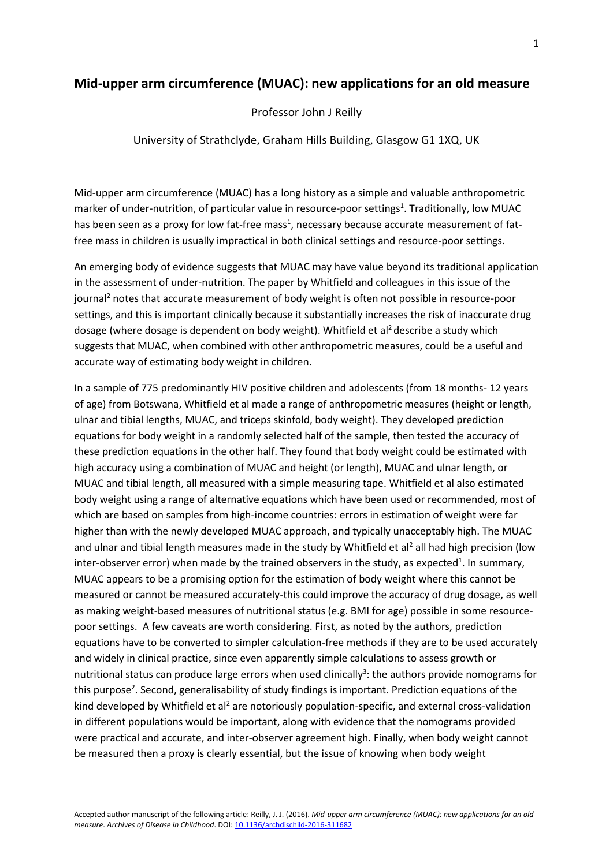## **Mid-upper arm circumference (MUAC): new applications for an old measure**

Professor John J Reilly

University of Strathclyde, Graham Hills Building, Glasgow G1 1XQ, UK

Mid-upper arm circumference (MUAC) has a long history as a simple and valuable anthropometric marker of under-nutrition, of particular value in resource-poor settings<sup>1</sup>. Traditionally, low MUAC has been seen as a proxy for low fat-free mass<sup>1</sup>, necessary because accurate measurement of fatfree mass in children is usually impractical in both clinical settings and resource-poor settings.

An emerging body of evidence suggests that MUAC may have value beyond its traditional application in the assessment of under-nutrition. The paper by Whitfield and colleagues in this issue of the journal<sup>2</sup> notes that accurate measurement of body weight is often not possible in resource-poor settings, and this is important clinically because it substantially increases the risk of inaccurate drug dosage (where dosage is dependent on body weight). Whitfield et al<sup>2</sup> describe a study which suggests that MUAC, when combined with other anthropometric measures, could be a useful and accurate way of estimating body weight in children.

In a sample of 775 predominantly HIV positive children and adolescents (from 18 months- 12 years of age) from Botswana, Whitfield et al made a range of anthropometric measures (height or length, ulnar and tibial lengths, MUAC, and triceps skinfold, body weight). They developed prediction equations for body weight in a randomly selected half of the sample, then tested the accuracy of these prediction equations in the other half. They found that body weight could be estimated with high accuracy using a combination of MUAC and height (or length), MUAC and ulnar length, or MUAC and tibial length, all measured with a simple measuring tape. Whitfield et al also estimated body weight using a range of alternative equations which have been used or recommended, most of which are based on samples from high-income countries: errors in estimation of weight were far higher than with the newly developed MUAC approach, and typically unacceptably high. The MUAC and ulnar and tibial length measures made in the study by Whitfield et al<sup>2</sup> all had high precision (low inter-observer error) when made by the trained observers in the study, as expected<sup>1</sup>. In summary, MUAC appears to be a promising option for the estimation of body weight where this cannot be measured or cannot be measured accurately-this could improve the accuracy of drug dosage, as well as making weight-based measures of nutritional status (e.g. BMI for age) possible in some resourcepoor settings. A few caveats are worth considering. First, as noted by the authors, prediction equations have to be converted to simpler calculation-free methods if they are to be used accurately and widely in clinical practice, since even apparently simple calculations to assess growth or nutritional status can produce large errors when used clinically<sup>3</sup>: the authors provide nomograms for this purpose<sup>2</sup>. Second, generalisability of study findings is important. Prediction equations of the kind developed by Whitfield et al<sup>2</sup> are notoriously population-specific, and external cross-validation in different populations would be important, along with evidence that the nomograms provided were practical and accurate, and inter-observer agreement high. Finally, when body weight cannot be measured then a proxy is clearly essential, but the issue of knowing when body weight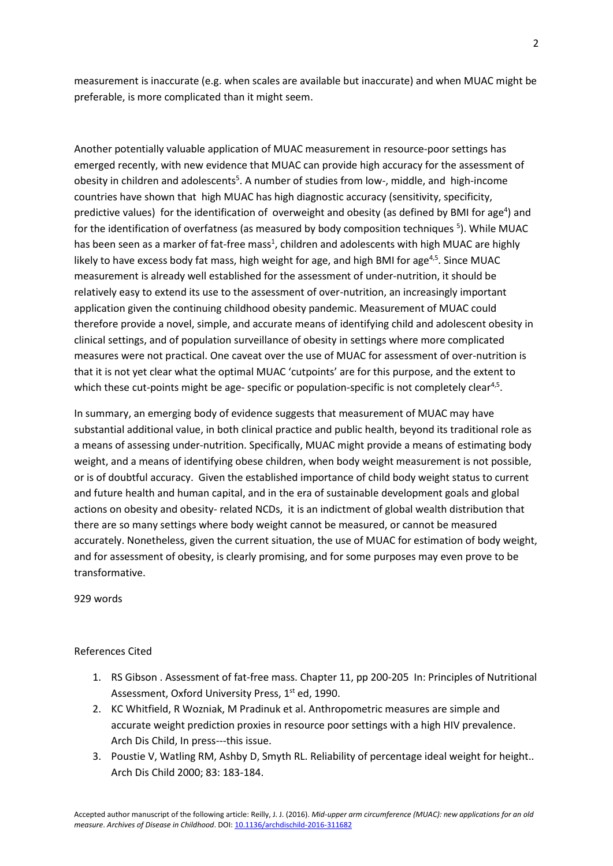measurement is inaccurate (e.g. when scales are available but inaccurate) and when MUAC might be preferable, is more complicated than it might seem.

Another potentially valuable application of MUAC measurement in resource-poor settings has emerged recently, with new evidence that MUAC can provide high accuracy for the assessment of obesity in children and adolescents<sup>5</sup>. A number of studies from low-, middle, and high-income countries have shown that high MUAC has high diagnostic accuracy (sensitivity, specificity, predictive values) for the identification of overweight and obesity (as defined by BMI for age<sup>4</sup>) and for the identification of overfatness (as measured by body composition techniques<sup>5</sup>). While MUAC has been seen as a marker of fat-free mass<sup>1</sup>, children and adolescents with high MUAC are highly likely to have excess body fat mass, high weight for age, and high BMI for age<sup>4,5</sup>. Since MUAC measurement is already well established for the assessment of under-nutrition, it should be relatively easy to extend its use to the assessment of over-nutrition, an increasingly important application given the continuing childhood obesity pandemic. Measurement of MUAC could therefore provide a novel, simple, and accurate means of identifying child and adolescent obesity in clinical settings, and of population surveillance of obesity in settings where more complicated measures were not practical. One caveat over the use of MUAC for assessment of over-nutrition is that it is not yet clear what the optimal MUAC 'cutpoints' are for this purpose, and the extent to which these cut-points might be age- specific or population-specific is not completely clear<sup>4,5</sup>.

In summary, an emerging body of evidence suggests that measurement of MUAC may have substantial additional value, in both clinical practice and public health, beyond its traditional role as a means of assessing under-nutrition. Specifically, MUAC might provide a means of estimating body weight, and a means of identifying obese children, when body weight measurement is not possible, or is of doubtful accuracy. Given the established importance of child body weight status to current and future health and human capital, and in the era of sustainable development goals and global actions on obesity and obesity- related NCDs, it is an indictment of global wealth distribution that there are so many settings where body weight cannot be measured, or cannot be measured accurately. Nonetheless, given the current situation, the use of MUAC for estimation of body weight, and for assessment of obesity, is clearly promising, and for some purposes may even prove to be transformative.

929 words

## References Cited

- 1. RS Gibson . Assessment of fat-free mass. Chapter 11, pp 200-205 In: Principles of Nutritional Assessment, Oxford University Press, 1<sup>st</sup> ed, 1990.
- 2. KC Whitfield, R Wozniak, M Pradinuk et al. Anthropometric measures are simple and accurate weight prediction proxies in resource poor settings with a high HIV prevalence. Arch Dis Child, In press---this issue.
- 3. Poustie V, Watling RM, Ashby D, Smyth RL. Reliability of percentage ideal weight for height.. Arch Dis Child 2000; 83: 183-184.